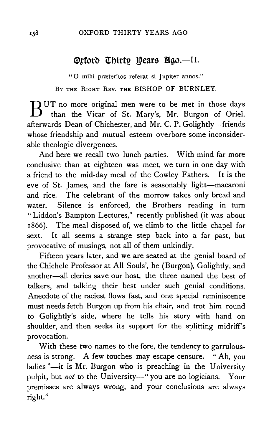## OXFORD THIRTY YEARS AGO

## **®rford Thirty Dears Bgo.-II.**

" 0 mihi prreteritos referat si Jupiter annos." BY THE RIGHT REV. THE BISHOP OF BURNLEY.

BUT no more original men were to be met in those days than the Vicar of St. Mary's, Mr. Burgon of Oriel, afterwards Dean of Chichester, and Mr. C. P. Golightly-friends whose friendship and mutual esteem overbore some inconsiderable theologic divergences.

And here we recall two lunch parties. With mind far more conclusive than at eighteen was meet, we turn in one day with a friend to the mid-day meal of the Cowley Fathers. It is the eve of St. James, and the fare is seasonably light-macaroni and rice. The celebrant of the morrow takes only bread and water. Silence is enforced, the Brothers reading in turn "Liddon's Bampton Lectures," recently published (it was about 1 866). The meal disposed of, we climb to the little chapel for sext. It all seems a strange step back into a far past, but provocative of musings, not all of them unkindly.

Fifteen years later, and we are seated at the genial board of the Chichele Professor at All Souls', he (Burgon), Golightly, and another-all clerics save our host, the three named the best of talkers, and talking their best under such genial conditions. Anecdote of the raciest flows fast, and one special reminiscence must needs fetch Burgon up from his chair, and trot him round to Golightly's side, where he tells his story with hand on shoulder, and then seeks its support for the splitting midriff's provocation.

With these two names to the fore, the tendency to garrulousness is strong. A few touches may escape censure. "Ah, you ladies "-it is Mr. Burgon who is preaching in the University pulpit, but *not* to the University-" you are no logicians. Your premisses are always wrong, and your conclusions are always right."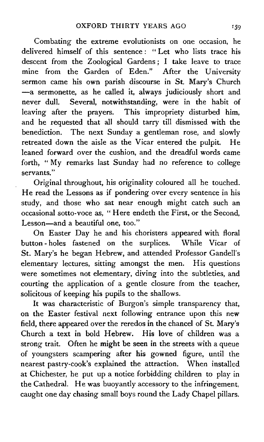Com bating the extreme evolutionists on one occasion, he delivered himself of this sentence: "Let who lists trace his descent from the Zoological Gardens ; I take leave to trace mine from the Garden of Eden." After the University sermon came his own parish discourse in St. Mary's Church -a sermonette, as he called it, always judiciously short and never dulL Several, notwithstanding, were in the habit of leaving after the prayers. This impropriety disturbed him, and he requested that all should tarry till dismissed with the benediction. The next Sunday a gentleman rose, and slowly retreated down the aisle as the Vicar entered the pulpit. He leaned forward over the cushion, and the dreadful words came forth, "My remarks last Sunday had no reference to college servants."

Original throughout, his originality coloured all he touched. He read the Lessons as if pondering over every sentence in his study, and those who sat near enough might catch such an occasional sotto-voce as, "Here endeth the First, or the Second, Lesson-and a beautiful one, too."

On Easter Day he and his choristers appeared with floral button - holes fastened on the surplices. While Vicar of St. Mary's he began Hebrew, and attended Professor Gandell's elementary lectures, sitting amongst the men. His questions were sometimes not elementary, diving into the subtleties, and courting the application of a gentle closure from the teacher, solicitous of keeping his pupils to the shallows.

It was characteristic of Burgon's simple transparency that, on the Easter festival next following entrance upon this new field, there appeared over the reredos in the chancel of St. Mary's Church a text in bold Hebrew. His love of children was a strong trait. Often he might be seen in the streets with a queue of youngsters scampering after his gowned figure, until the nearest pastry-cook's explained the attraction. When installed at Chichester, he put up a notice forbidding children to play in the Cathedral. He was buoyantly accessory to the infringement, caught one day chasing small boys round the Lady Chapel pillars.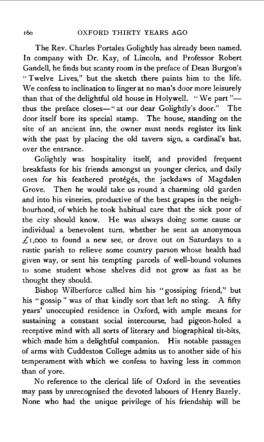The Rev. Charles Portales Golightly has already been named. In company with Dr. Kay, of Lincoln, and Professor Robert Gandell, he finds but scanty room in the preface of Dean Burgon's "Twelve Lives," but the sketch there paints him to the life. We confess to inclination to linger at no man's door more leisurely than that of the delightful old house in Holywell. "We part"thus the preface closes-" at our dear Golightly's door." The door itself bore its special stamp. The house, standing on the site of an ancient inn, the owner must needs register its link with the past by placing the old tavern sign, a cardinal's hat, over the entrance.

Golightly was hospitality itself, and provided frequent breakfasts for his friends amongst us younger clerics, and daily ones for his feathered protégés, the jackdaws of Magdalen Grove. Then he would take us round a charming old garden and into his vineries, productive of the best grapes in the neighbourhood, of which he took habitual care that the sick poor of the city should know. He was always doing some cause or individual a benevolent turn, whether he sent an anonymous  $f(x)$ ,000 to found a new see, or drove out on Saturdays to a rustic parish to relieve some country parson whose health had given way, or sent his tempting parcels of well-bound volumes to some student whose shelves did not grow as fast as he thought they should.

Bishop Wilberforce called him his " gossiping friend," but his "gossip " was of that kindly sort that left no sting. A fifty years' unoccupied residence in Oxford, with ample means for sustaining a constant social intercourse, had pigeon-holed a receptive mind with all sorts of literary and biographical tit-bits, which made him a delightful companion. His notable passages of arms with Cuddeston Co1lege admits us to another side of his temperament with which we confess to having less in common than of yore.

No reference to the clerical life of Oxford in the seventies may pass by unrecognised the devoted labours of Henry Bazely. None who had the unique privilege of his friendship will be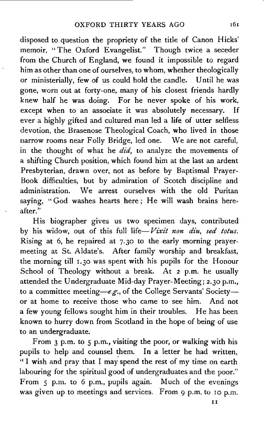disposed to question the propriety of the title of Canon Hicks' memoir, "The Oxford Evangelist." Though twice a seceder from the Church of England, we found it impossible to regard him as other than one of ourselves, to whom, whether theologically or ministerially, few of us could hold the candle. Until he was gone, worn out at forty-one, many of his closest friends hardly knew half he was doing. For he never spoke of his work, except when to an associate it was absolutely necessary. If ever a highly gifted and cultured man led a life of utter selfless devotion, the Brasenose Theological Coach, who lived in those narrow rooms near Folly Bridge, led one. We are not careful, in the thought of what he *did*, to analyze the movements of a shifting Church position, which found him at the last an ardent Presbyterian, drawn over, not as before by Baptismal Prayer-Book difficulties, but by admiration of Scotch discipline and administration. We arrest ourselves with the old Puritan saying, "God washes hearts here; He will wash brains hereafter."

His biographer gives us two specimen days, contributed by his widow, out of this full life-*Vixit non diu*, sed totus. Rising at 6, he repaired at 7·30 to the early morning prayermeeting at St. Aldate's. After family worship and breakfast, the morning till 1.30 was spent with his pupils for the Honour School of Theology without a break. At 2 p.m. he usually attended the Undergraduate Mid-day Prayer-Meeting; 2.30 p.m., to a committee meeting-e.g., of the College Servants' Societyor at home to receive those who came to see him. And not a few young fellows sought him in their troubles. He has been known to hurry down from Scotland in the hope of being of use to an undergraduate.

From 3 p.m. to 5 p.m., visiting the poor, or walking with his pupils to help and counsel them. In a letter he had written, '' I wish and pray that I may spend the rest of my time on earth labouring for the spiritual good of undergraduates and the poor." From 5 p.m. to 6 p.m., pupils again. Much of the evenings was given up to meetings and services. From 9 p.m. to 10 p.m.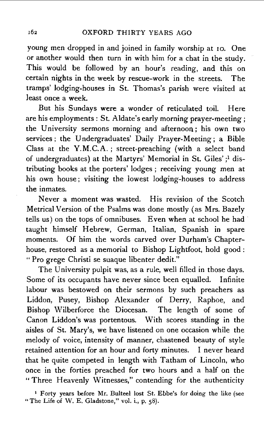young men dropped in and joined in family worship at 10. One or another would then turn in with him for a chat in the study. This would be followed by an hour's reading, and this on certain nights in the week by rescue-work in the streets. The tramps' lodging-houses in St. Thomas's parish were visited at least once a week.

But his Sundays were a wonder of reticulated toil. Here are his employments : St. Aldate's early morning prayer-meeting; the University sermons morning and afternoon; his own two services; the Undergraduates' Daily Prayer-Meeting; a Bible Class at the Y.M.C.A. *;* street-preaching (with a select band of undergraduates) at the Martyrs' Memorial in St. Giles' ; 1 distributing books at the porters' lodges ; receiving young men at his own house; visiting the lowest lodging-houses to address the inmates.

Never a moment was wasted. His revision of the Scotch Metrical Version of the Psalms was done mostly (as Mrs. Bazely tells us) on the tops of omnibuses. Even when at school he had taught himself Hebrew, German, Italian, Spanish in spare moments. Of him the words carved over Durham's Chapterhouse, restored as a memorial to Bishop Lightfoot, hold good : "Pro grege Christi se suaque libenter dedit."

The University pulpit was, as a rule, well filled in those days. Some of its occupants have never since been equalled. Infinite labour was bestowed on their sermons by such preachers as Liddon, Pusey, Bishop Alexander of Derry, Raphoe, and Bishop Wilberforce the Diocesan. The length of some of Canon Liddon's was portentous. With scores standing in the aisles of St. Mary's, we have listened on one occasion while the melody of voice, intensity of manner, chastened beauty of style retained attention for an hour and forty minutes. I never heard that he quite competed in length with Tatham of Lincoln, who once in the forties preached for two hours and a half on the ~~Three Heavenly Witnesses," contending for the authenticity

<sup>&</sup>lt;sup>1</sup> Forty years before Mr. Bulteel lost St. Ebbe's for doing the like (see "The Life of W. E. Gladstone," vol. i., p. 58).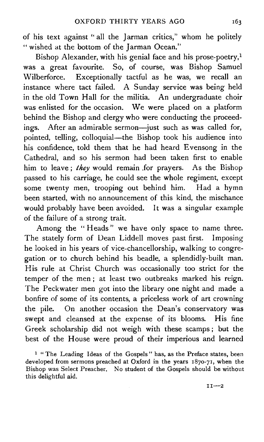of his text against " all the Jarman critics," whom he politely " wished at the bottom of the Jarman Ocean."

Bishop Alexander, with his genial face and his prose-poetry,<sup>1</sup> was a great favourite. So, of course, was Bishop Samuel Wilberforce. Exceptionally tactful as he was, we recall an instance where tact failed. A Sunday service was being held in the old Town Hall for the militia. An undergraduate choir was enlisted for the occasion. We were placed on a platform behind the Bishop and clergy who were conducting the proceedings. After an admirable sermon-just such as was called for, pointed, telling, colloquial-the Bishop took his audience into his confidence, told them that he had heard Evensong in the Cathedral, and so his sermon had been taken first to enable him to leave; *they* would remain .for prayers. As the Bishop passed to his carriage, he could see the whole regiment, except some twenty men, trooping out behind him. Had a hymn been started, with no announcement of this kind, the mischance would probably have been avoided. It was a singular example of the failure of a strong trait.

Among the "Heads" we have only space to name three. The stately form of Dean Liddell moves past first. Imposing he looked in his years of vice-chancellorship, walking to congregation or to church behind his beadle, a splendidly-built man. His rule at Christ Church was occasionally too strict for the temper of the men ; at least two outbreaks marked his reign. The Peckwater men got into the library one night and made a bonfire of some of its contents, a priceless work of art crowning the pile. On another occasion the Dean's conservatory was swept and cleansed at the expense of its blooms. His fine Greek scholarship did not weigh with these scamps ; but the best of the House were proud of their imperious and learned

<sup>1</sup> " The Leading Ideas of the Gospels" has, as the Preface states, been developed from sermons preached at Oxford in the years 1870-71, when the Bishop was Select Preacher. No student of the Gospels should be without this delightful aid.

 $II-2$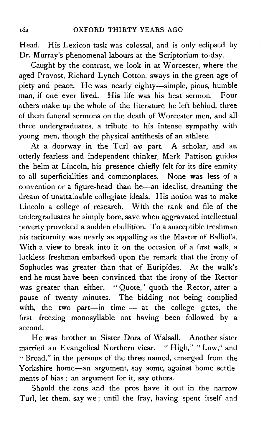Head. His Lexicon task was colossal, and is only eclipsed by Dr. Murray's phenomenal labours at the Scriptorium to-day.

Caught by the contrast, we look in at Worcester, where the aged Provost, Richard Lynch Cotton, sways in the green age of piety and peace. He was nearly eighty-simple, pious, humble man, if one ever lived. His life was his best sermon. Four others make up the whole of the literature he left behind, three of them funeral sermons on the death of Worcester men, and all three undergraduates, a tribute to his intense sympathy with young men, though the physical antithesis of an athlete.

At a doorway in the Turl *we* part. A scholar, and an utterly fearless and independent thinker, Mark Pattison guides the helm at Lincoln, his presence chiefly felt for its dire enmity to all superficialities and commonplaces. None was less of a convention or a figure-head than he-an idealist, dreaming the dream of unattainable collegiate ideals. His notion was to make Lincoln a college of research. With the rank and file of the undergraduates he simply bore, save when aggravated intellectual poverty provoked a sudden ebullition. To a susceptible freshman his taciturnity was nearly as appalling as the Master of Balliol's. With a view to break into it on the occasion of a first walk, a luckless freshman embarked upon the remark that the irony of Sophocles was greater than that of Euripides. At the walk's end he must have been convinced that the irony of the Rector was greater than either. "Quote," quoth the Rector, after a pause of twenty minutes. The bidding not being complied with, the two part-in time  $-$  at the college gates, the first freezing monosyllable not having been followed by a second.

He was brother to Sister Dora of Walsall. Another sister married an Evangelical Northern vicar. " High," " Low," and "Broad," in the persons of the three named, emerged from the Yorkshire home-an argument, say some, against home settlements of bias ; an argument for it, say others.

Should the cons and the pros have it out in the narrow Turl, let them, say we ; until the fray, having spent itself and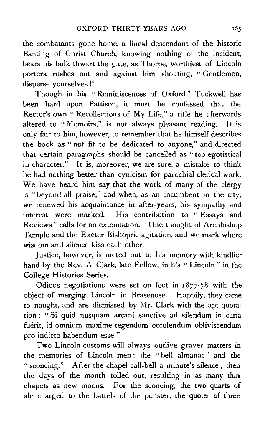the combatants gone home, a lineal descendant of the historic Banting of Christ Church, knowing nothing of the incident, bears his bulk thwart the gate, as Thorpe, worthiest of Lincoln porters, rushes out and against him, shouting, " Gentlemen, disperse yourselves !"

Though in his "Reminiscences of Oxford" Tuckwell has been hard upon Pattison, it must be confessed that the Rector's own "Recollections of My Life," a title he afterwards altered to "Memoirs," is not always pleasant reading. It is only fair to him, however, to remember that he himself describes the book as '' not fit to be dedicated to anyone," and directed that certain paragraphs should be cancelled as "too egotistical in character." It is, moreover, we are sure, a mistake to think he had nothing better than cynicism for parochial clerical work. We have heard him say that the work of many of the clergy is "beyond all praise," and when, as an incumbent in the city, we renewed his acquaintance in after-years, his sympathy and interest were marked. His contribution to " Essays and Reviews " calls for no extenuation. One thought of Archbishop Temple and the Exeter Bishopric agitation, and we mark where wisdom and silence kiss each other.

Justice, however, is meted out to his memory with kindlier hand by the Rev. A. Clark, late Fellow, in his " Lincoln " in the College Histories Series.

Odious negotiations were set on foot in  $1877-78$  with the object of merging Lincoln in Brasenose. Happily, they came to naught, and are dismissed by Mr. Clark with the apt quotation : " Si quid nusquam arcani sanctive ad silendum in curia fuerit, id omnium maxime tegendum occulendum obliviscendum pro indicto habendum esse."

Two Lincoln customs will always outlive graver matters in the memories of Lincoln men : the " bell almanac " and the "sconcing." After the chapel call-bell a minute's silence; then the days of the month tolled out, resulting in as many thin chapels as new moons. For the sconcing, the two quarts of ale charged to the battels of the punster, the quoter of three